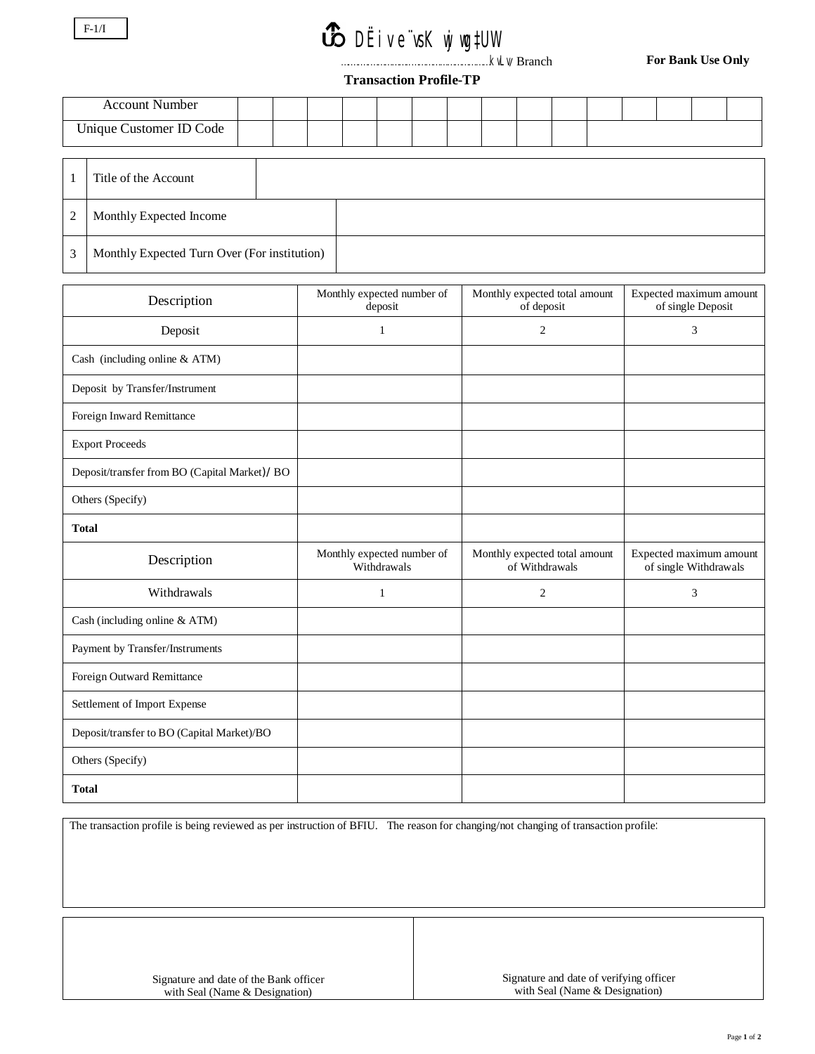## *B* DËive vsK wj wg#UW

.kvLv/ Branch

**For Bank Use Only**

## **Transaction Profile-TP**

| <b>Account Number</b>   |  |  |  |  |  |  |  |  |
|-------------------------|--|--|--|--|--|--|--|--|
| Unique Customer ID Code |  |  |  |  |  |  |  |  |

|   | Title of the Account                         |  |
|---|----------------------------------------------|--|
| 2 | Monthly Expected Income                      |  |
| 3 | Monthly Expected Turn Over (For institution) |  |

| Description                                   | Monthly expected number of<br>deposit     | Monthly expected total amount<br>of deposit     | Expected maximum amount<br>of single Deposit     |
|-----------------------------------------------|-------------------------------------------|-------------------------------------------------|--------------------------------------------------|
| Deposit                                       | $\mathbf{1}$                              | 2                                               | 3                                                |
| Cash (including online & ATM)                 |                                           |                                                 |                                                  |
| Deposit by Transfer/Instrument                |                                           |                                                 |                                                  |
| Foreign Inward Remittance                     |                                           |                                                 |                                                  |
| <b>Export Proceeds</b>                        |                                           |                                                 |                                                  |
| Deposit/transfer from BO (Capital Market)/ BO |                                           |                                                 |                                                  |
| Others (Specify)                              |                                           |                                                 |                                                  |
| <b>Total</b>                                  |                                           |                                                 |                                                  |
| Description                                   | Monthly expected number of<br>Withdrawals | Monthly expected total amount<br>of Withdrawals | Expected maximum amount<br>of single Withdrawals |
| Withdrawals                                   | $\mathbf{1}$                              | 2                                               | 3                                                |
| Cash (including online & ATM)                 |                                           |                                                 |                                                  |
| Payment by Transfer/Instruments               |                                           |                                                 |                                                  |
| Foreign Outward Remittance                    |                                           |                                                 |                                                  |
| Settlement of Import Expense                  |                                           |                                                 |                                                  |
| Deposit/transfer to BO (Capital Market)/BO    |                                           |                                                 |                                                  |
| Others (Specify)                              |                                           |                                                 |                                                  |
| <b>Total</b>                                  |                                           |                                                 |                                                  |

The transaction profile is being reviewed as per instruction of BFIU. The reason for changing/not changing of transaction profile:

Signature and date of the Bank officer with Seal (Name & Designation)

Signature and date of verifying officer with Seal (Name & Designation)